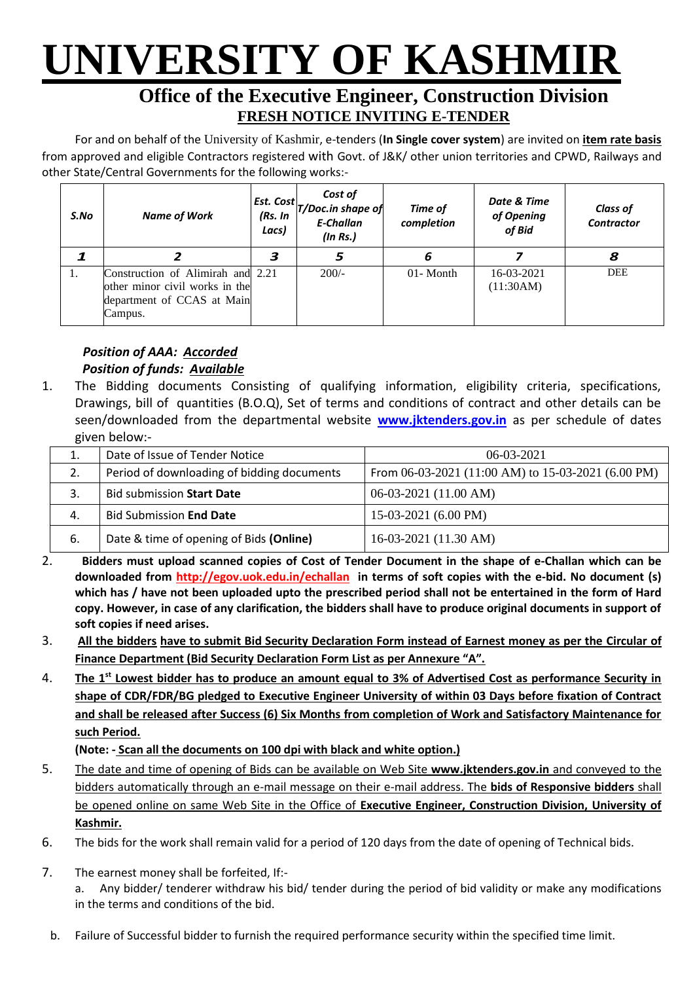# **UNIVERSITY OF KASHMIR**

## **Office of the Executive Engineer, Construction Division FRESH NOTICE INVITING E-TENDER**

For and on behalf of the University of Kashmir, e-tenders (**In Single cover system**) are invited on **item rate basis** from approved and eligible Contractors registered with Govt. of J&K/ other union territories and CPWD, Railways and other State/Central Governments for the following works:-

| S.No | <b>Name of Work</b>                                                                                          | Est. Cost<br>(Rs. In<br>Lacs) | Cost of<br>T/Doc.in shape of<br><b>E-Challan</b><br>(ln Rs.) | Time of<br>completion | Date & Time<br>of Opening<br>of Bid | <b>Class of</b><br><b>Contractor</b> |
|------|--------------------------------------------------------------------------------------------------------------|-------------------------------|--------------------------------------------------------------|-----------------------|-------------------------------------|--------------------------------------|
|      |                                                                                                              | 3                             | 5                                                            | 6                     |                                     | 8                                    |
| 1.   | Construction of Alimirah and 2.21<br>other minor civil works in the<br>department of CCAS at Main<br>Campus. |                               | $200/-$                                                      | 01-Month              | 16-03-2021<br>(11:30AM)             | <b>DEE</b>                           |

### *Position of AAA: Accorded Position of funds: Available*

1. The Bidding documents Consisting of qualifying information, eligibility criteria, specifications, Drawings, bill of quantities (B.O.Q), Set of terms and conditions of contract and other details can be seen/downloaded from the departmental website **[www.jktenders.gov.in](http://www.pmgsytendersjk.gov.in/)** as per schedule of dates given below:-

| 1. | Date of Issue of Tender Notice             | $06-03-2021$                                       |  |  |
|----|--------------------------------------------|----------------------------------------------------|--|--|
| 2. | Period of downloading of bidding documents | From 06-03-2021 (11:00 AM) to 15-03-2021 (6.00 PM) |  |  |
|    | <b>Bid submission Start Date</b>           | $06-03-2021(11.00 AM)$                             |  |  |
| 4. | <b>Bid Submission End Date</b>             | $15-03-2021$ (6.00 PM)                             |  |  |
| 6. | Date & time of opening of Bids (Online)    | 16-03-2021 (11.30 AM)                              |  |  |

- 2. **Bidders must upload scanned copies of Cost of Tender Document in the shape of e-Challan which can be downloaded from<http://egov.uok.edu.in/echallan>in terms of soft copies with the e-bid. No document (s) which has / have not been uploaded upto the prescribed period shall not be entertained in the form of Hard copy. However, in case of any clarification, the bidders shall have to produce original documents in support of soft copies if need arises.**
- 3. **All the bidders have to submit Bid Security Declaration Form instead of Earnest money as per the Circular of Finance Department (Bid Security Declaration Form List as per Annexure "A".**
- 4. **The 1st Lowest bidder has to produce an amount equal to 3% of Advertised Cost as performance Security in shape of CDR/FDR/BG pledged to Executive Engineer University of within 03 Days before fixation of Contract and shall be released after Success (6) Six Months from completion of Work and Satisfactory Maintenance for such Period.**

**(Note: - Scan all the documents on 100 dpi with black and white option.)**

- 5. The date and time of opening of Bids can be available on Web Site **[www.jktenders.gov.in](http://www.pmgsytendersjk.gov.in/)** and conveyed to the bidders automatically through an e-mail message on their e-mail address. The **bids of Responsive bidders** shall be opened online on same Web Site in the Office of **Executive Engineer, Construction Division, University of Kashmir.**
- 6. The bids for the work shall remain valid for a period of 120 days from the date of opening of Technical bids.
- 7. The earnest money shall be forfeited, If:-

a. Any bidder/ tenderer withdraw his bid/ tender during the period of bid validity or make any modifications in the terms and conditions of the bid.

b. Failure of Successful bidder to furnish the required performance security within the specified time limit.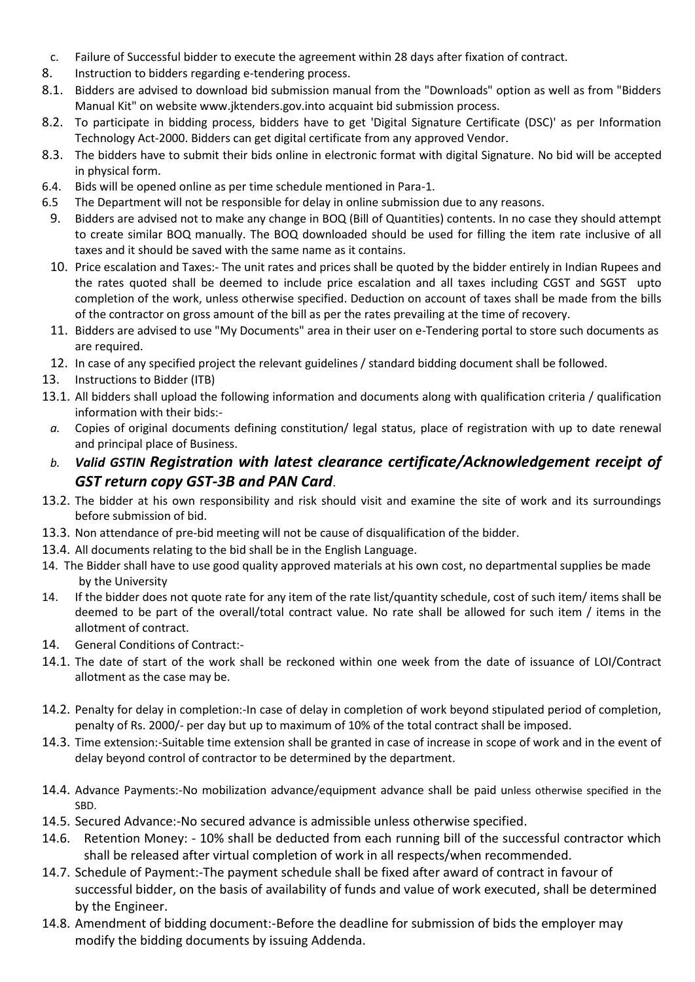- c. Failure of Successful bidder to execute the agreement within 28 days after fixation of contract.
- 8. Instruction to bidders regarding e-tendering process.
- 8.1. Bidders are advised to download bid submission manual from the "Downloads" option as well as from "Bidders Manual Kit" on website [www.jktenders.gov.into](http://www.pmgsytendersjk.gov.into/) acquaint bid submission process.
- 8.2. To participate in bidding process, bidders have to get 'Digital Signature Certificate (DSC)' as per Information Technology Act-2000. Bidders can get digital certificate from any approved Vendor.
- 8.3. The bidders have to submit their bids online in electronic format with digital Signature. No bid will be accepted in physical form.
- 6.4. Bids will be opened online as per time schedule mentioned in Para-1.
- 6.5 The Department will not be responsible for delay in online submission due to any reasons.
- 9. Bidders are advised not to make any change in BOQ (Bill of Quantities) contents. In no case they should attempt to create similar BOQ manually. The BOQ downloaded should be used for filling the item rate inclusive of all taxes and it should be saved with the same name as it contains.
- 10. Price escalation and Taxes:- The unit rates and prices shall be quoted by the bidder entirely in Indian Rupees and the rates quoted shall be deemed to include price escalation and all taxes including CGST and SGST upto completion of the work, unless otherwise specified. Deduction on account of taxes shall be made from the bills of the contractor on gross amount of the bill as per the rates prevailing at the time of recovery.
- 11. Bidders are advised to use "My Documents" area in their user on e-Tendering portal to store such documents as are required.
- 12. In case of any specified project the relevant guidelines / standard bidding document shall be followed.
- 13. Instructions to Bidder (ITB)
- 13.1. All bidders shall upload the following information and documents along with qualification criteria / qualification information with their bids:
	- *a.* Copies of original documents defining constitution/ legal status, place of registration with up to date renewal and principal place of Business.
	- *b. Valid GSTIN Registration with latest clearance certificate/Acknowledgement receipt of GST return copy GST-3B and PAN Card*.
- 13.2. The bidder at his own responsibility and risk should visit and examine the site of work and its surroundings before submission of bid.
- 13.3. Non attendance of pre-bid meeting will not be cause of disqualification of the bidder.
- 13.4. All documents relating to the bid shall be in the English Language.
- 14. The Bidder shall have to use good quality approved materials at his own cost, no departmental supplies be made by the University
- 14. If the bidder does not quote rate for any item of the rate list/quantity schedule, cost of such item/ items shall be deemed to be part of the overall/total contract value. No rate shall be allowed for such item / items in the allotment of contract.
- 14. General Conditions of Contract:-
- 14.1. The date of start of the work shall be reckoned within one week from the date of issuance of LOI/Contract allotment as the case may be.
- 14.2. Penalty for delay in completion:-In case of delay in completion of work beyond stipulated period of completion, penalty of Rs. 2000/- per day but up to maximum of 10% of the total contract shall be imposed.
- 14.3. Time extension:-Suitable time extension shall be granted in case of increase in scope of work and in the event of delay beyond control of contractor to be determined by the department.
- 14.4. Advance Payments:-No mobilization advance/equipment advance shall be paid unless otherwise specified in the SBD.
- 14.5. Secured Advance:-No secured advance is admissible unless otherwise specified.
- 14.6. Retention Money: 10% shall be deducted from each running bill of the successful contractor which shall be released after virtual completion of work in all respects/when recommended.
- 14.7. Schedule of Payment:-The payment schedule shall be fixed after award of contract in favour of successful bidder, on the basis of availability of funds and value of work executed, shall be determined by the Engineer.
- 14.8. Amendment of bidding document:-Before the deadline for submission of bids the employer may modify the bidding documents by issuing Addenda.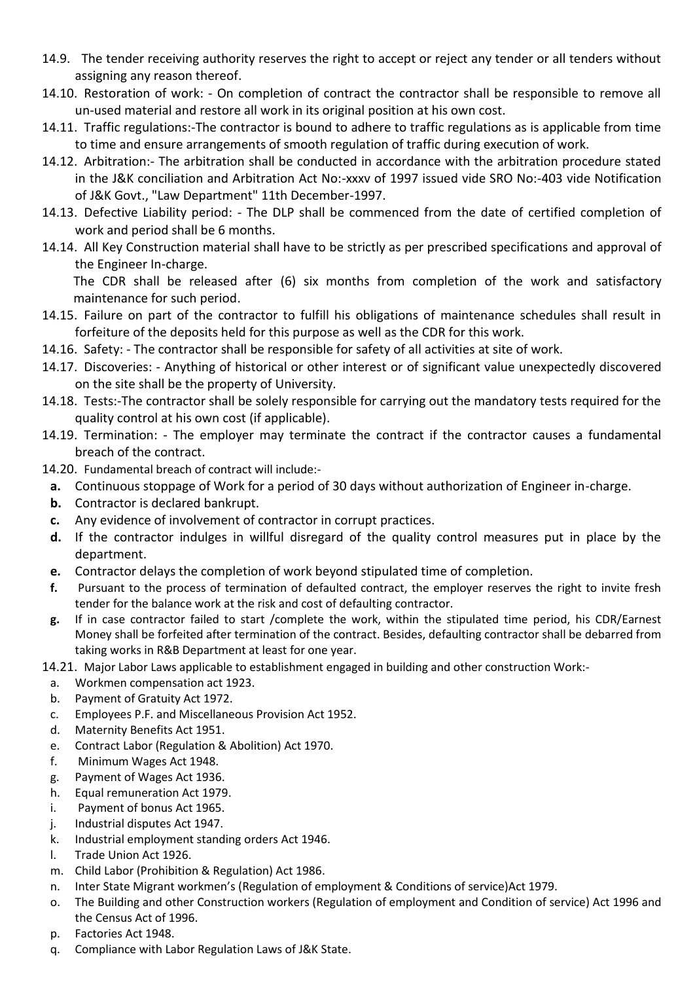- 14.9. The tender receiving authority reserves the right to accept or reject any tender or all tenders without assigning any reason thereof.
- 14.10. Restoration of work: On completion of contract the contractor shall be responsible to remove all un-used material and restore all work in its original position at his own cost.
- 14.11. Traffic regulations:-The contractor is bound to adhere to traffic regulations as is applicable from time to time and ensure arrangements of smooth regulation of traffic during execution of work.
- 14.12. Arbitration:- The arbitration shall be conducted in accordance with the arbitration procedure stated in the J&K conciliation and Arbitration Act No:-xxxv of 1997 issued vide SRO No:-403 vide Notification of J&K Govt., "Law Department" 11th December-1997.
- 14.13. Defective Liability period: The DLP shall be commenced from the date of certified completion of work and period shall be 6 months.
- 14.14. All Key Construction material shall have to be strictly as per prescribed specifications and approval of the Engineer In-charge.

The CDR shall be released after (6) six months from completion of the work and satisfactory maintenance for such period.

- 14.15. Failure on part of the contractor to fulfill his obligations of maintenance schedules shall result in forfeiture of the deposits held for this purpose as well as the CDR for this work.
- 14.16. Safety: The contractor shall be responsible for safety of all activities at site of work.
- 14.17. Discoveries: Anything of historical or other interest or of significant value unexpectedly discovered on the site shall be the property of University.
- 14.18. Tests:-The contractor shall be solely responsible for carrying out the mandatory tests required for the quality control at his own cost (if applicable).
- 14.19. Termination: The employer may terminate the contract if the contractor causes a fundamental breach of the contract.
- 14.20. Fundamental breach of contract will include:
	- **a.** Continuous stoppage of Work for a period of 30 days without authorization of Engineer in-charge.
	- **b.** Contractor is declared bankrupt.
	- **c.** Any evidence of involvement of contractor in corrupt practices.
	- **d.** If the contractor indulges in willful disregard of the quality control measures put in place by the department.
	- **e.** Contractor delays the completion of work beyond stipulated time of completion.
	- **f.** Pursuant to the process of termination of defaulted contract, the employer reserves the right to invite fresh tender for the balance work at the risk and cost of defaulting contractor.
	- **g.** If in case contractor failed to start /complete the work, within the stipulated time period, his CDR/Earnest Money shall be forfeited after termination of the contract. Besides, defaulting contractor shall be debarred from taking works in R&B Department at least for one year.

14.21. Major Labor Laws applicable to establishment engaged in building and other construction Work:-

- a. Workmen compensation act 1923.
- b. Payment of Gratuity Act 1972.
- c. Employees P.F. and Miscellaneous Provision Act 1952.
- d. Maternity Benefits Act 1951.
- e. Contract Labor (Regulation & Abolition) Act 1970.
- f. Minimum Wages Act 1948.
- g. Payment of Wages Act 1936.
- h. Equal remuneration Act 1979.
- i. Payment of bonus Act 1965.
- j. Industrial disputes Act 1947.
- k. Industrial employment standing orders Act 1946.
- l. Trade Union Act 1926.
- m. Child Labor (Prohibition & Regulation) Act 1986.
- n. Inter State Migrant workmen's (Regulation of employment & Conditions of service)Act 1979.
- o. The Building and other Construction workers (Regulation of employment and Condition of service) Act 1996 and the Census Act of 1996.
- p. Factories Act 1948.
- q. Compliance with Labor Regulation Laws of J&K State.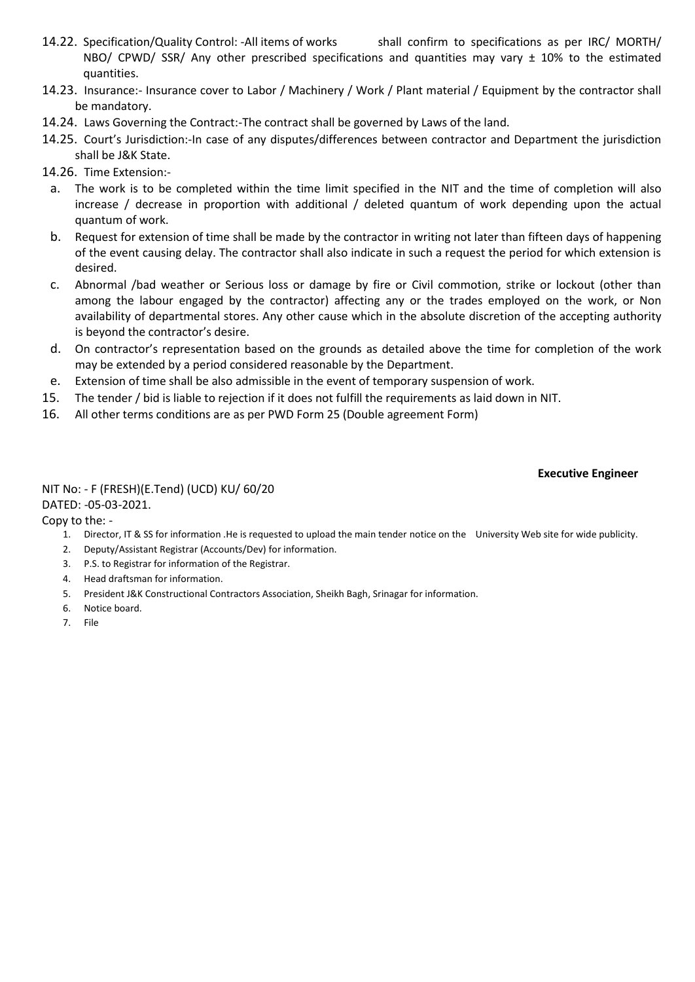- 14.22. Specification/Quality Control: -All items of works shall confirm to specifications as per IRC/ MORTH/ NBO/ CPWD/ SSR/ Any other prescribed specifications and quantities may vary ± 10% to the estimated quantities.
- 14.23. Insurance:- Insurance cover to Labor / Machinery / Work / Plant material / Equipment by the contractor shall be mandatory.
- 14.24. Laws Governing the Contract:-The contract shall be governed by Laws of the land.
- 14.25. Court's Jurisdiction:-In case of any disputes/differences between contractor and Department the jurisdiction shall be J&K State.
- 14.26. Time Extension:
	- a. The work is to be completed within the time limit specified in the NIT and the time of completion will also increase / decrease in proportion with additional / deleted quantum of work depending upon the actual quantum of work.
	- b. Request for extension of time shall be made by the contractor in writing not later than fifteen days of happening of the event causing delay. The contractor shall also indicate in such a request the period for which extension is desired.
	- c. Abnormal /bad weather or Serious loss or damage by fire or Civil commotion, strike or lockout (other than among the labour engaged by the contractor) affecting any or the trades employed on the work, or Non availability of departmental stores. Any other cause which in the absolute discretion of the accepting authority is beyond the contractor's desire.
	- d. On contractor's representation based on the grounds as detailed above the time for completion of the work may be extended by a period considered reasonable by the Department.
- e. Extension of time shall be also admissible in the event of temporary suspension of work.
- 15. The tender / bid is liable to rejection if it does not fulfill the requirements as laid down in NIT.
- 16. All other terms conditions are as per PWD Form 25 (Double agreement Form)

#### **Executive Engineer**

#### NIT No: - F (FRESH)(E.Tend) (UCD) KU/ 60/20 DATED: -05-03-2021.

Copy to the: -

- 1. Director, IT & SS for information .He is requested to upload the main tender notice on the University Web site for wide publicity.
- 2. Deputy/Assistant Registrar (Accounts/Dev) for information.
- 3. P.S. to Registrar for information of the Registrar.
- 4. Head draftsman for information.
- 5. President J&K Constructional Contractors Association, Sheikh Bagh, Srinagar for information.
- 6. Notice board.
- 7. File